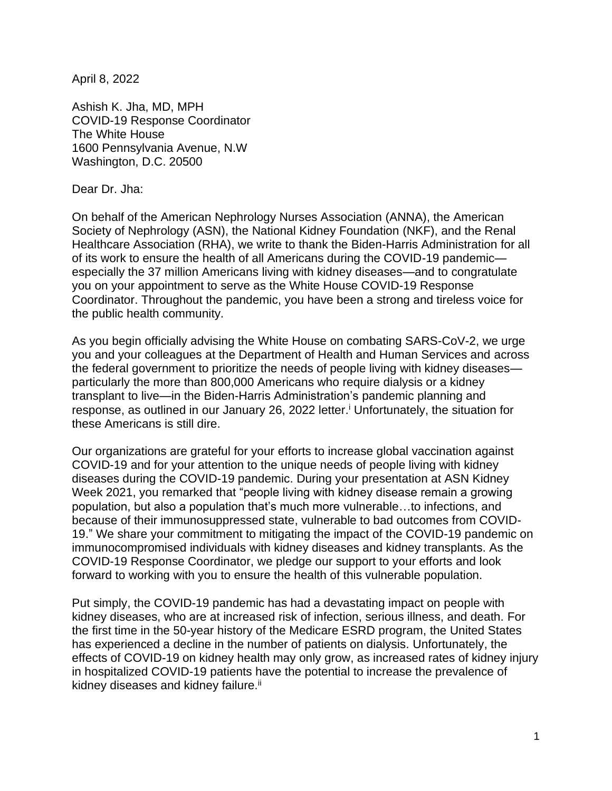April 8, 2022

Ashish K. Jha, MD, MPH COVID-19 Response Coordinator The White House 1600 Pennsylvania Avenue, N.W Washington, D.C. 20500

Dear Dr. Jha:

On behalf of the American Nephrology Nurses Association (ANNA), the American Society of Nephrology (ASN), the National Kidney Foundation (NKF), and the Renal Healthcare Association (RHA), we write to thank the Biden-Harris Administration for all of its work to ensure the health of all Americans during the COVID-19 pandemic especially the 37 million Americans living with kidney diseases—and to congratulate you on your appointment to serve as the White House COVID-19 Response Coordinator. Throughout the pandemic, you have been a strong and tireless voice for the public health community.

As you begin officially advising the White House on combating SARS-CoV-2, we urge you and your colleagues at the Department of Health and Human Services and across the federal government to prioritize the needs of people living with kidney diseases particularly the more than 800,000 Americans who require dialysis or a kidney transplant to live—in the Biden-Harris Administration's pandemic planning and response, as outlined in our January 26, 2022 letter. <sup>i</sup> Unfortunately, the situation for these Americans is still dire.

Our organizations are grateful for your efforts to increase global vaccination against COVID-19 and for your attention to the unique needs of people living with kidney diseases during the COVID-19 pandemic. During your presentation at ASN Kidney Week 2021, you remarked that "people living with kidney disease remain a growing population, but also a population that's much more vulnerable…to infections, and because of their immunosuppressed state, vulnerable to bad outcomes from COVID-19." We share your commitment to mitigating the impact of the COVID-19 pandemic on immunocompromised individuals with kidney diseases and kidney transplants. As the COVID-19 Response Coordinator, we pledge our support to your efforts and look forward to working with you to ensure the health of this vulnerable population.

Put simply, the COVID-19 pandemic has had a devastating impact on people with kidney diseases, who are at increased risk of infection, serious illness, and death. For the first time in the 50-year history of the Medicare ESRD program, the United States has experienced a decline in the number of patients on dialysis. Unfortunately, the effects of COVID-19 on kidney health may only grow, as increased rates of kidney injury in hospitalized COVID-19 patients have the potential to increase the prevalence of kidney diseases and kidney failure.<sup>ii</sup>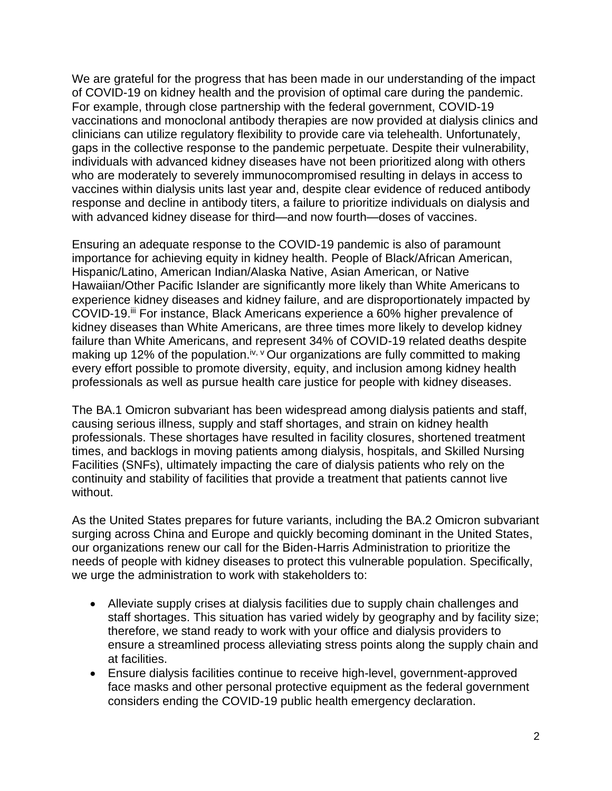We are grateful for the progress that has been made in our understanding of the impact of COVID-19 on kidney health and the provision of optimal care during the pandemic. For example, through close partnership with the federal government, COVID-19 vaccinations and monoclonal antibody therapies are now provided at dialysis clinics and clinicians can utilize regulatory flexibility to provide care via telehealth. Unfortunately, gaps in the collective response to the pandemic perpetuate. Despite their vulnerability, individuals with advanced kidney diseases have not been prioritized along with others who are moderately to severely immunocompromised resulting in delays in access to vaccines within dialysis units last year and, despite clear evidence of reduced antibody response and decline in antibody titers, a failure to prioritize individuals on dialysis and with advanced kidney disease for third—and now fourth—doses of vaccines.

Ensuring an adequate response to the COVID-19 pandemic is also of paramount importance for achieving equity in kidney health. People of Black/African American, Hispanic/Latino, American Indian/Alaska Native, Asian American, or Native Hawaiian/Other Pacific Islander are significantly more likely than White Americans to experience kidney diseases and kidney failure, and are disproportionately impacted by COVID-19.iii For instance, Black Americans experience a 60% higher prevalence of kidney diseases than White Americans, are three times more likely to develop kidney failure than White Americans, and represent 34% of COVID-19 related deaths despite making up 12% of the population.<sup>iv, v</sup> Our organizations are fully committed to making every effort possible to promote diversity, equity, and inclusion among kidney health professionals as well as pursue health care justice for people with kidney diseases.

The BA.1 Omicron subvariant has been widespread among dialysis patients and staff, causing serious illness, supply and staff shortages, and strain on kidney health professionals. These shortages have resulted in facility closures, shortened treatment times, and backlogs in moving patients among dialysis, hospitals, and Skilled Nursing Facilities (SNFs), ultimately impacting the care of dialysis patients who rely on the continuity and stability of facilities that provide a treatment that patients cannot live without.

As the United States prepares for future variants, including the BA.2 Omicron subvariant surging across China and Europe and quickly becoming dominant in the United States, our organizations renew our call for the Biden-Harris Administration to prioritize the needs of people with kidney diseases to protect this vulnerable population. Specifically, we urge the administration to work with stakeholders to:

- Alleviate supply crises at dialysis facilities due to supply chain challenges and staff shortages. This situation has varied widely by geography and by facility size; therefore, we stand ready to work with your office and dialysis providers to ensure a streamlined process alleviating stress points along the supply chain and at facilities.
- Ensure dialysis facilities continue to receive high-level, government-approved face masks and other personal protective equipment as the federal government considers ending the COVID-19 public health emergency declaration.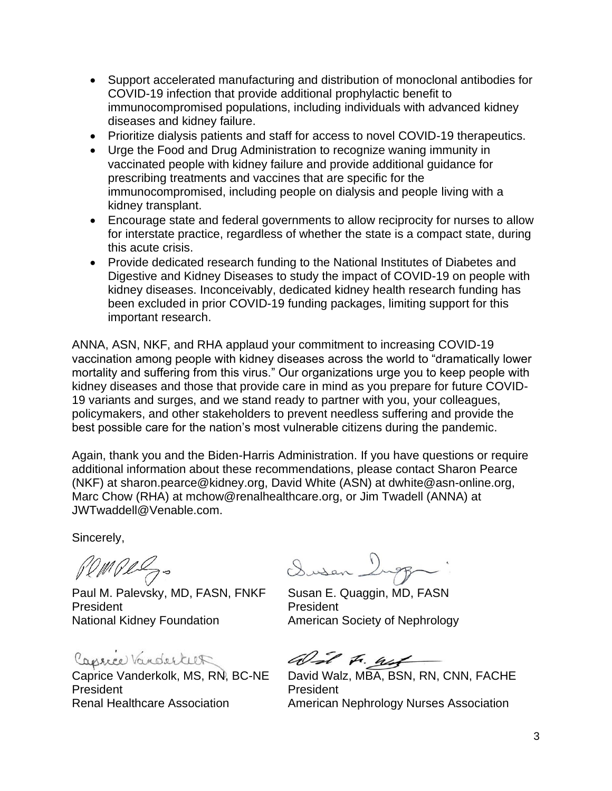- Support accelerated manufacturing and distribution of monoclonal antibodies for COVID-19 infection that provide additional prophylactic benefit to immunocompromised populations, including individuals with advanced kidney diseases and kidney failure.
- Prioritize dialysis patients and staff for access to novel COVID-19 therapeutics.
- Urge the Food and Drug Administration to recognize waning immunity in vaccinated people with kidney failure and provide additional guidance for prescribing treatments and vaccines that are specific for the immunocompromised, including people on dialysis and people living with a kidney transplant.
- Encourage state and federal governments to allow reciprocity for nurses to allow for interstate practice, regardless of whether the state is a compact state, during this acute crisis.
- Provide dedicated research funding to the National Institutes of Diabetes and Digestive and Kidney Diseases to study the impact of COVID-19 on people with kidney diseases. Inconceivably, dedicated kidney health research funding has been excluded in prior COVID-19 funding packages, limiting support for this important research.

ANNA, ASN, NKF, and RHA applaud your commitment to increasing COVID-19 vaccination among people with kidney diseases across the world to "dramatically lower mortality and suffering from this virus." Our organizations urge you to keep people with kidney diseases and those that provide care in mind as you prepare for future COVID-19 variants and surges, and we stand ready to partner with you, your colleagues, policymakers, and other stakeholders to prevent needless suffering and provide the best possible care for the nation's most vulnerable citizens during the pandemic.

Again, thank you and the Biden-Harris Administration. If you have questions or require additional information about these recommendations, please contact Sharon Pearce (NKF) at sharon.pearce@kidney.org, David White (ASN) at dwhite@asn-online.org, Marc Chow (RHA) at mchow@renalhealthcare.org, or Jim Twadell (ANNA) at JWTwaddell@Venable.com.

Sincerely,

Pempez.

Paul M. Palevsky, MD, FASN, FNKF Susan E. Quaggin, MD, FASN President President National Kidney Foundation **American Society of Nephrology** 

Caprice Vanderkeet

President President

Dusen 1

and F. Wet

Caprice Vanderkolk, MS, RN, BC-NE David Walz, MBA, BSN, RN, CNN, FACHE Renal Healthcare Association **American Nephrology Nurses Association**